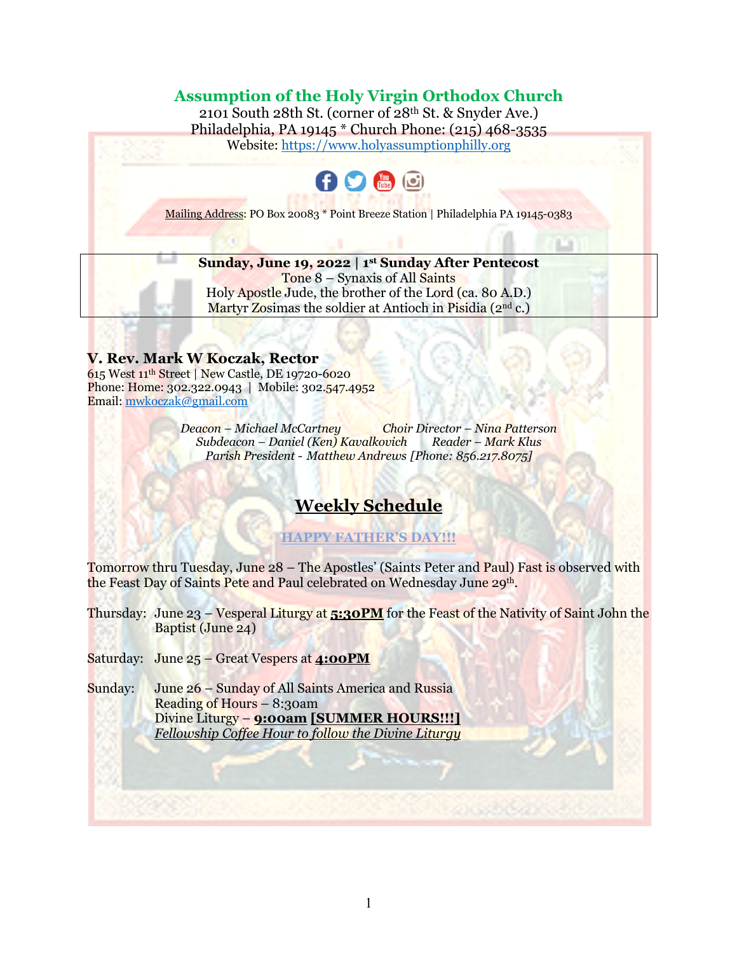### **Assumption of the Holy Virgin Orthodox Church**

2101 South 28th St. (corner of 28th St. & Snyder Ave.) Philadelphia, PA 19145 \* Church Phone: (215) 468-3535 Website: https://www.holyassumptionphilly.org



Mailing Address: PO Box 20083 \* Point Breeze Station | Philadelphia PA 19145-0383

**Sunday, June 19, 2022 | 1st Sunday After Pentecost** Tone 8 – Synaxis of All Saints Holy Apostle Jude, the brother of the Lord (ca. 80 A.D.) Martyr Zosimas the soldier at Antioch in Pisidia  $(2<sup>nd</sup> c.)$ 

### **V. Rev. Mark W Koczak, Rector**

615 West 11th Street | New Castle, DE 19720-6020 Phone: Home: 302.322.0943 | Mobile: 302.547.4952 Email: mwkoczak@gmail.com

> *Deacon – Michael McCartney Choir Director – Nina Patterson Subdeacon – Daniel (Ken) Kavalkovich Reader – Mark Klus Parish President - Matthew Andrews [Phone: 856.217.8075]*

# **Weekly Schedule**

**HAPPY FATHER'S DAY!!!**

Tomorrow thru Tuesday, June 28 – The Apostles' (Saints Peter and Paul) Fast is observed with the Feast Day of Saints Pete and Paul celebrated on Wednesday June 29th.

Thursday: June 23 – Vesperal Liturgy at **5:30PM** for the Feast of the Nativity of Saint John the Baptist (June 24)

Saturday: June 25 – Great Vespers at **4:00PM**

Sunday: June 26 – Sunday of All Saints America and Russia Reading of Hours – 8:30am Divine Liturgy – **9:00am [SUMMER HOURS!!!]** *Fellowship Coffee Hour to follow the Divine Liturgy*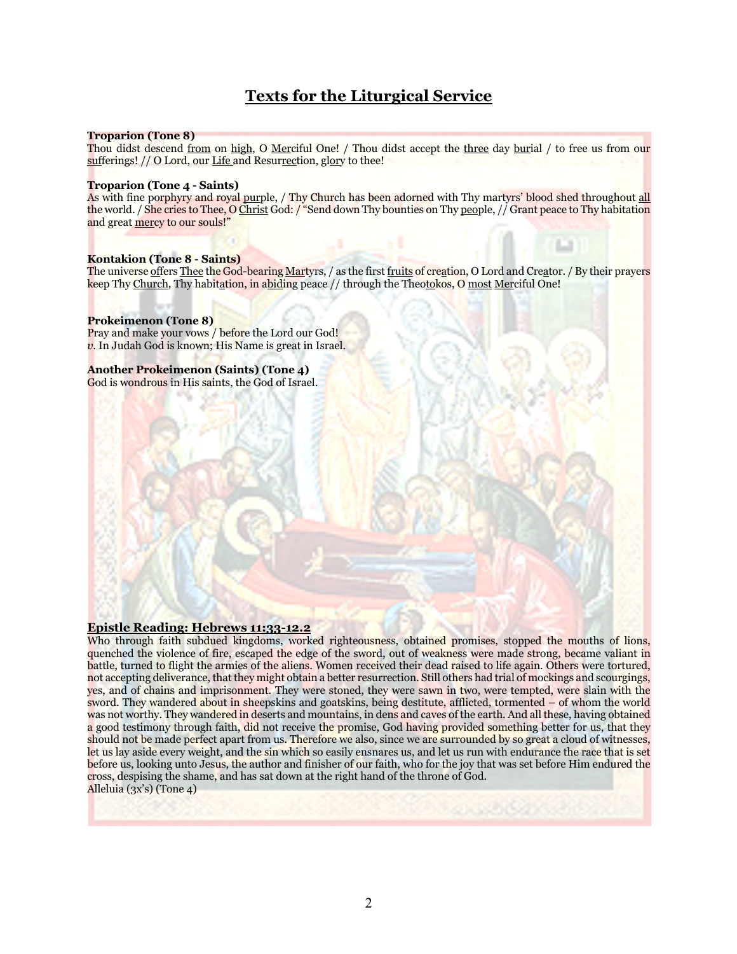# **Texts for the Liturgical Service**

#### **Troparion (Tone 8)**

Thou didst descend from on high, O Merciful One! / Thou didst accept the three day burial / to free us from our sufferings! // O Lord, our Life and Resurrection, glory to thee!

#### **Troparion (Tone 4 - Saints)**

As with fine porphyry and royal purple, / Thy Church has been adorned with Thy martyrs' blood shed throughout all the world. / She cries to Thee, O Christ God: / "Send down Thy bounties on Thy people, // Grant peace to Thy habitation and great mercy to our souls!"

#### **Kontakion (Tone 8 - Saints)**

The universe offers Thee the God-bearing Martyrs, / as the first fruits of creation, O Lord and Creator. / By their prayers keep Thy Church, Thy habitation, in abiding peace // through the Theotokos, O most Merciful One!

#### **Prokeimenon (Tone 8)**

Pray and make your vows / before the Lord our God! *v*. In Judah God is known; His Name is great in Israel.

#### **Another Prokeimenon (Saints) (Tone 4)**

God is wondrous in His saints, the God of Israel.

#### **Epistle Reading: Hebrews 11:33-12.2**

Who through faith subdued kingdoms, worked righteousness, obtained promises, stopped the mouths of lions, quenched the violence of fire, escaped the edge of the sword, out of weakness were made strong, became valiant in battle, turned to flight the armies of the aliens. Women received their dead raised to life again. Others were tortured, not accepting deliverance, that they might obtain a better resurrection. Still others had trial of mockings and scourgings, yes, and of chains and imprisonment. They were stoned, they were sawn in two, were tempted, were slain with the sword. They wandered about in sheepskins and goatskins, being destitute, afflicted, tormented – of whom the world was not worthy. They wandered in deserts and mountains, in dens and caves of the earth. And all these, having obtained a good testimony through faith, did not receive the promise, God having provided something better for us, that they should not be made perfect apart from us. Therefore we also, since we are surrounded by so great a cloud of witnesses, let us lay aside every weight, and the sin which so easily ensnares us, and let us run with endurance the race that is set before us, looking unto Jesus, the author and finisher of our faith, who for the joy that was set before Him endured the cross, despising the shame, and has sat down at the right hand of the throne of God. Alleluia (3x's) (Tone 4)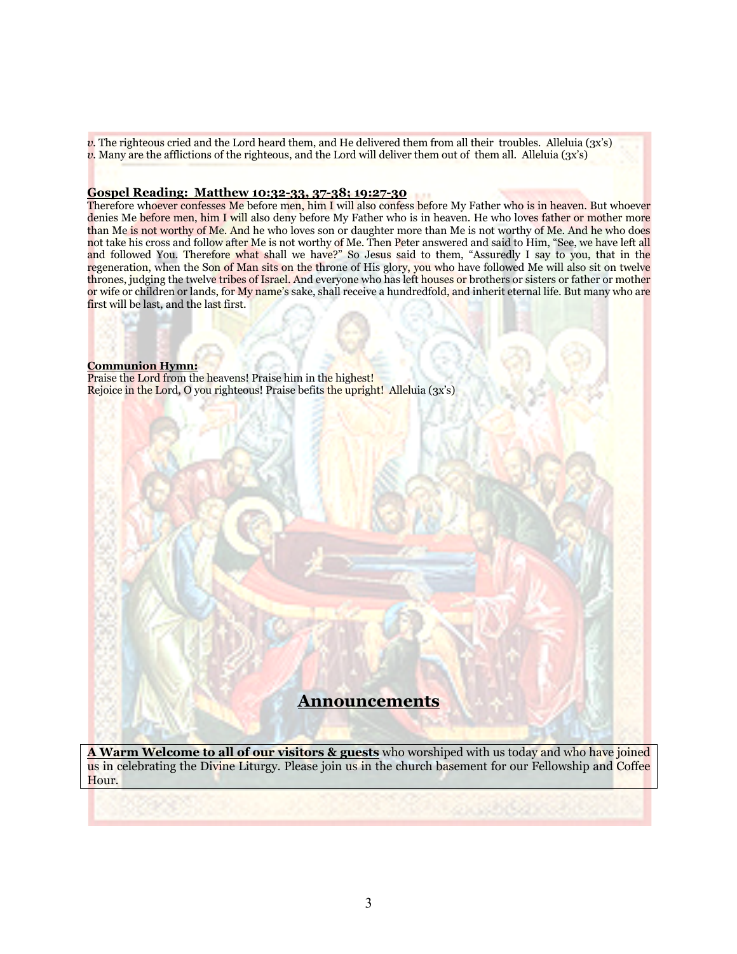*v.* The righteous cried and the Lord heard them, and He delivered them from all their troubles. Alleluia (3x's) *v*. Many are the afflictions of the righteous, and the Lord will deliver them out of them all. Alleluia (3x's)

#### **Gospel Reading: Matthew 10:32-33, 37-38; 19:27-30**

Therefore whoever confesses Me before men, him I will also confess before My Father who is in heaven. But whoever denies Me before men, him I will also deny before My Father who is in heaven. He who loves father or mother more than Me is not worthy of Me. And he who loves son or daughter more than Me is not worthy of Me. And he who does not take his cross and follow after Me is not worthy of Me. Then Peter answered and said to Him, "See, we have left all and followed You. Therefore what shall we have?" So Jesus said to them, "Assuredly I say to you, that in the regeneration, when the Son of Man sits on the throne of His glory, you who have followed Me will also sit on twelve thrones, judging the twelve tribes of Israel. And everyone who has left houses or brothers or sisters or father or mother or wife or children or lands, for My name's sake, shall receive a hundredfold, and inherit eternal life. But many who are first will be last, and the last first.

#### **Communion Hymn:**

Praise the Lord from the heavens! Praise him in the highest! Rejoice in the Lord, O you righteous! Praise befits the upright! Alleluia (3x's)

### **Announcements**

**A Warm Welcome to all of our visitors & guests** who worshiped with us today and who have joined us in celebrating the Divine Liturgy. Please join us in the church basement for our Fellowship and Coffee Hour.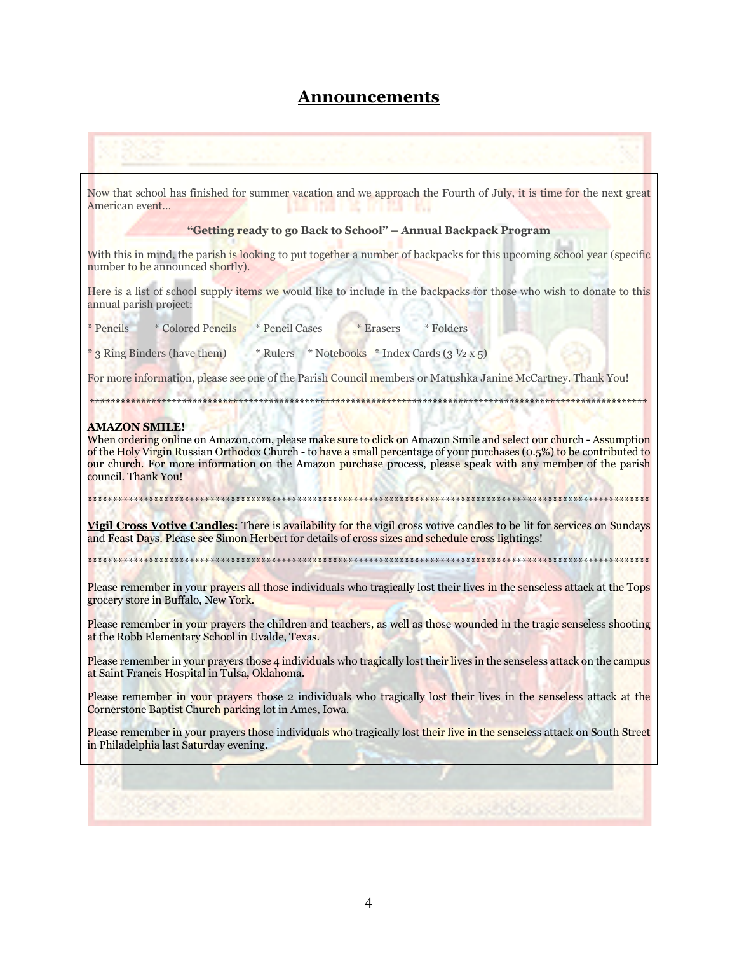### **Announcements**

# Now that school has finished for summer vacation and we approach the Fourth of July, it is time for the next great American event… LINE I TANK HE DET PART HAT **"Getting ready to go Back to School" – Annual Backpack Program** With this in mind, the parish is looking to put together a number of backpacks for this upcoming school year (specific number to be announced shortly). Here is a list of school supply items we would like to include in the backpacks for those who wish to donate to this annual parish project: \* Pencils \* Colored Pencils \* Pencil Cases \* Erasers \* Folders  $*$  3 Ring Binders (have them)  $*$  Rulers  $*$  Notebooks  $*$  Index Cards (3  $\frac{1}{2}$  x 5) For more information, please see one of the Parish Council members or Matushka Janine McCartney. Thank You! \*\*\*\*\*\*\*\*\*\*\*\*\*\*\*\*\*\*\*\*\*\*\*\*\*\*\*\*\*\*\*\*\*\*\*\*\*\*\*\*\*\*\*\*\*\*\*\*\*\*\*\*\*\*\*\*\*\*\*\*\*\*\*\*\*\*\*\*\*\*\*\*\*\*\*\*\*\*\*\*\*\*\*\*\*\*\*\*\*\*\*\*\*\*\*\*\*\*\*\*\*\*\*\*\*\*\*\*\* **AMAZON SMILE!** When ordering online on Amazon.com, please make sure to click on Amazon Smile and select our church - Assumption of the Holy Virgin Russian Orthodox Church - to have a small percentage of your purchases (0.5%) to be contributed to our church. For more information on the Amazon purchase process, please speak with any member of the parish council. Thank You! \*\*\*\*\*\*\*\*\*\*\*\*\*\*\*\*\*\*\*\*\*\*\*\*\*\*\*\*\*\*\*\*\*\*\*\*\*\*\*\*\*\*\*\*\*\*\*\*\*\*\*\*\*\*\*\*\*\*\*\*\*\*\*\*\*\*\*\*\*\*\*\*\*\*\*\*\*\*\*\*\*\*\*\*\*\*\*\*\*\*\*\*\*\*\*\*\*\*\*\*\*\*\*\*\*\*\*\*\*\* **Vigil Cross Votive Candles:** There is availability for the vigil cross votive candles to be lit for services on Sundays and Feast Days. Please see Simon Herbert for details of cross sizes and schedule cross lightings! \*\*\*\*\*\*\*\*\*\*\*\*\*\*\*\*\*\*\*\*\*\*\*\*\*\*\*\*\*\*\*\*\*\*\*\*\*\*\*\*\*\*\*\*\*\*\*\*\*\*\*\*\*\*\*\*\*\*\*\*\*\*\*\*\*\*\*\*\*\*\*\*\*\*\*\*\*\*\*\*\*\*\*\*\*\*\*\*\*\*\*\*\*\*\*\*\*\*\*\*\*\*\*\*\*\*\*\*\*\* Please remember in your prayers all those individuals who tragically lost their lives in the senseless attack at the Tops grocery store in Buffalo, New York. Please remember in your prayers the children and teachers, as well as those wounded in the tragic senseless shooting at the Robb Elementary School in Uvalde, Texas. Please remember in your prayers those 4 individuals who tragically lost their lives in the senseless attack on the campus at Saint Francis Hospital in Tulsa, Oklahoma. Please remember in your prayers those 2 individuals who tragically lost their lives in the senseless attack at the Cornerstone Baptist Church parking lot in Ames, Iowa. Please remember in your prayers those individuals who tragically lost their live in the senseless attack on South Street in Philadelphia last Saturday evening.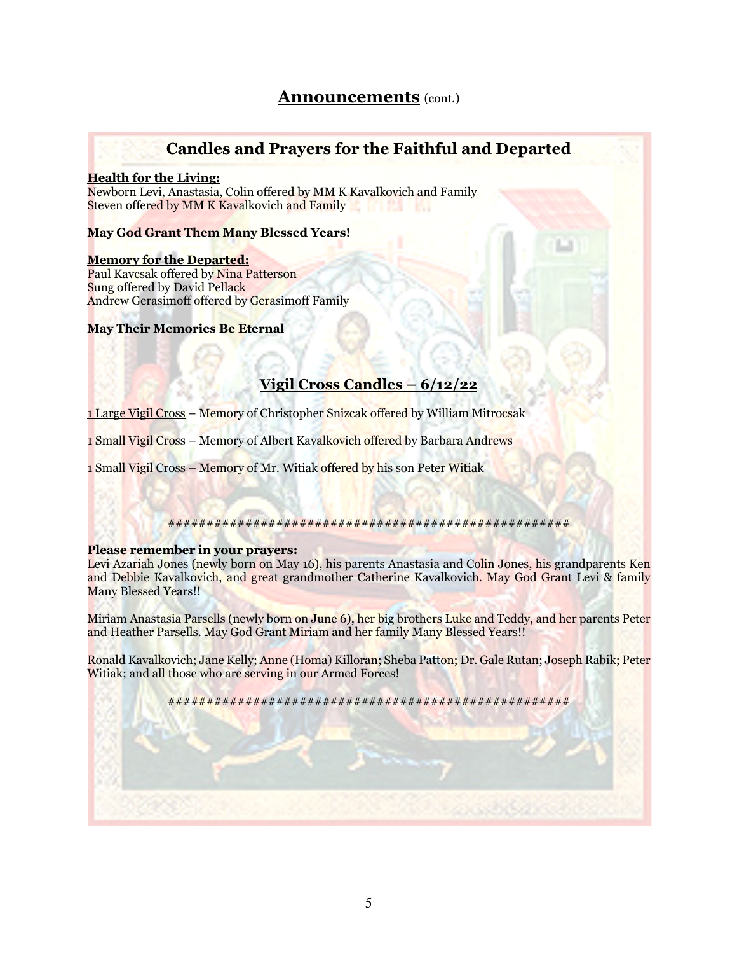### **Announcements** (cont.)

### **Candles and Prayers for the Faithful and Departed**

### **Health for the Living:**

Newborn Levi, Anastasia, Colin offered by MM K Kavalkovich and Family Steven offered by MM K Kavalkovich and Family **BOT 253 F 163** 

### **May God Grant Them Many Blessed Years!**

### **Memory for the Departed:**

Paul Kavcsak offered by Nina Patterson Sung offered by David Pellack Andrew Gerasimoff offered by Gerasimoff Family

### **May Their Memories Be Eternal**

### **Vigil Cross Candles – 6/12/22**

1 Large Vigil Cross – Memory of Christopher Snizcak offered by William Mitrocsak

1 Small Vigil Cross – Memory of Albert Kavalkovich offered by Barbara Andrews

1 Small Vigil Cross – Memory of Mr. Witiak offered by his son Peter Witiak

### ####################################################

#### **Please remember in your prayers:**

Levi Azariah Jones (newly born on May 16), his parents Anastasia and Colin Jones, his grandparents Ken and Debbie Kavalkovich, and great grandmother Catherine Kavalkovich. May God Grant Levi & family Many Blessed Years!!

Miriam Anastasia Parsells (newly born on June 6), her big brothers Luke and Teddy, and her parents Peter and Heather Parsells. May God Grant Miriam and her family Many Blessed Years!!

Ronald Kavalkovich; Jane Kelly; Anne (Homa) Killoran; Sheba Patton; Dr. Gale Rutan; Joseph Rabik; Peter Witiak; and all those who are serving in our Armed Forces!

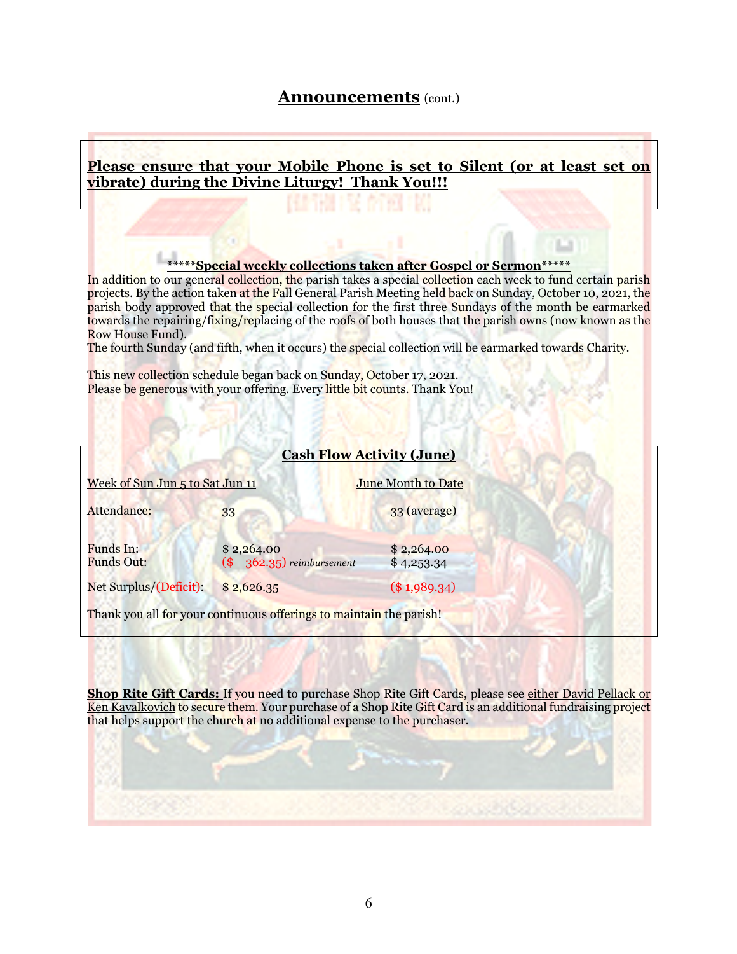### **Announcements** (cont.)

### **Please ensure that your Mobile Phone is set to Silent (or at least set on vibrate) during the Divine Liturgy! Thank You!!!**

### **\*\*\*\*\*Special weekly collections taken after Gospel or Sermon\*\*\*\*\***

In addition to our general collection, the parish takes a special collection each week to fund certain parish projects. By the action taken at the Fall General Parish Meeting held back on Sunday, October 10, 2021, the parish body approved that the special collection for the first three Sundays of the month be earmarked towards the repairing/fixing/replacing of the roofs of both houses that the parish owns (now known as the Row House Fund).

The fourth Sunday (and fifth, when it occurs) the special collection will be earmarked towards Charity.

This new collection schedule began back on Sunday, October 17, 2021. Please be generous with your offering. Every little bit counts. Thank You!

| <b>Cash Flow Activity (June)</b> |                                                                     |                          |
|----------------------------------|---------------------------------------------------------------------|--------------------------|
| Week of Sun Jun 5 to Sat Jun 11  |                                                                     | June Month to Date       |
| Attendance:                      | 33                                                                  | 33 (average)             |
| Funds In:<br><b>Funds Out:</b>   | \$2,264.00<br>$(\$ 362.35)$ reimbursement                           | \$2,264.00<br>\$4,253.34 |
| Net Surplus/(Deficit):           | \$2,626.35                                                          | $(\$1,989.34)$           |
|                                  | Thank you all for your continuous offerings to maintain the parish! |                          |

**Shop Rite Gift Cards:** If you need to purchase Shop Rite Gift Cards, please see either David Pellack or Ken Kavalkovich to secure them. Your purchase of a Shop Rite Gift Card is an additional fundraising project that helps support the church at no additional expense to the purchaser.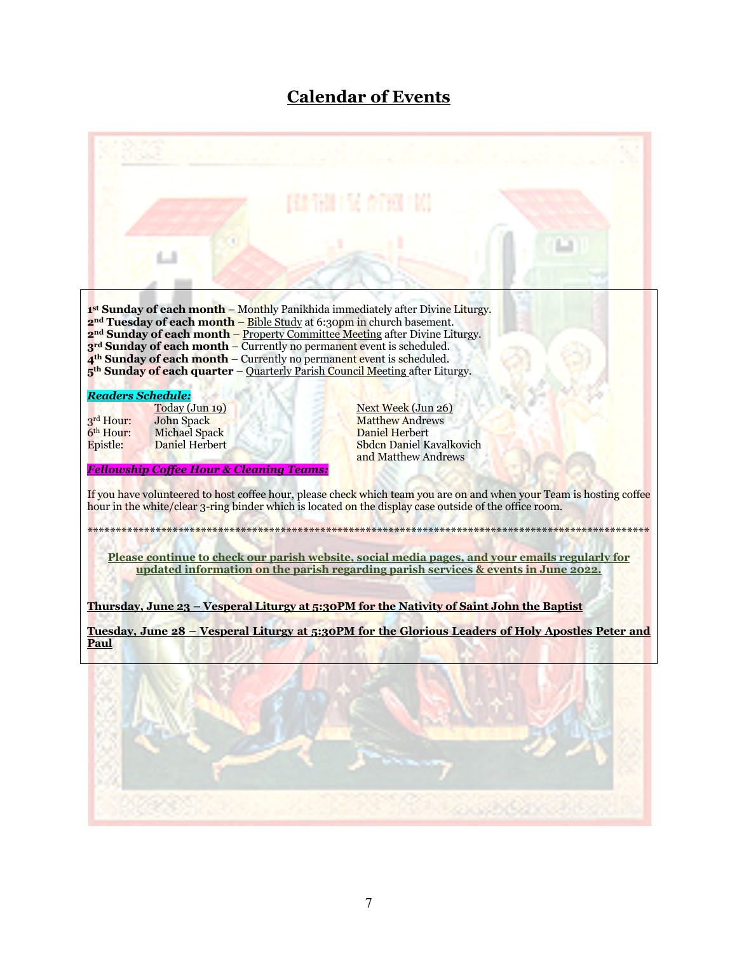# **Calendar of Events**